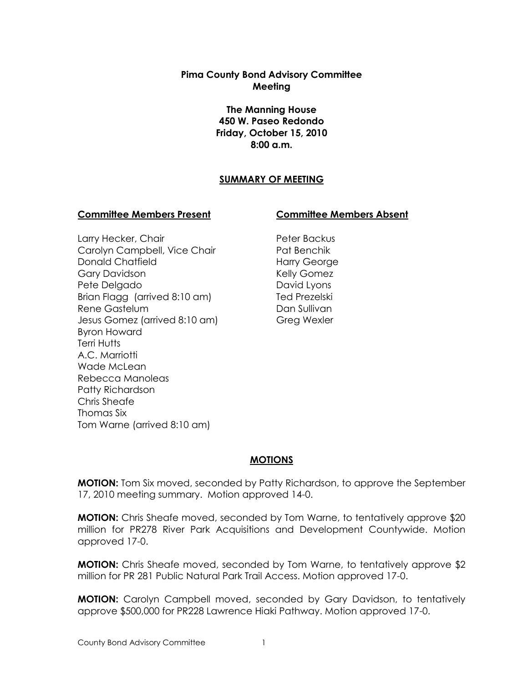## **Pima County Bond Advisory Committee Meeting**

**The Manning House 450 W. Paseo Redondo Friday, October 15, 2010 8:00 a.m.**

# **SUMMARY OF MEETING**

#### **Committee Members Present Committee Members Absent**

Larry Hecker, Chair Carolyn Campbell, Vice Chair Donald Chatfield Gary Davidson Pete Delgado Brian Flagg (arrived 8:10 am) Rene Gastelum Jesus Gomez (arrived 8:10 am) Byron Howard Terri Hutts A.C. Marriotti Wade McLean Rebecca Manoleas Patty Richardson Chris Sheafe Thomas Six Tom Warne (arrived 8:10 am)

Peter Backus Pat Benchik Harry George Kelly Gomez David Lyons Ted Prezelski Dan Sullivan Greg Wexler

## **MOTIONS**

**MOTION:** Tom Six moved, seconded by Patty Richardson, to approve the September 17, 2010 meeting summary. Motion approved 14-0.

**MOTION:** Chris Sheafe moved, seconded by Tom Warne, to tentatively approve \$20 million for PR278 River Park Acquisitions and Development Countywide. Motion approved 17-0.

**MOTION:** Chris Sheafe moved, seconded by Tom Warne, to tentatively approve \$2 million for PR 281 Public Natural Park Trail Access. Motion approved 17-0.

**MOTION:** Carolyn Campbell moved, seconded by Gary Davidson, to tentatively approve \$500,000 for PR228 Lawrence Hiaki Pathway. Motion approved 17-0.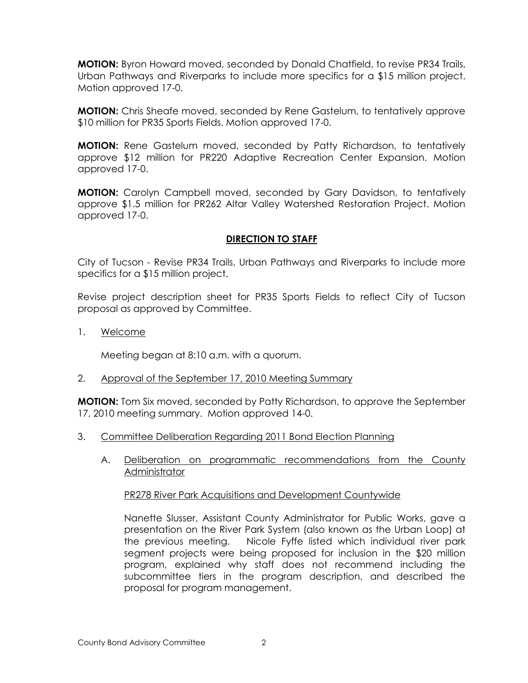**MOTION:** Byron Howard moved, seconded by Donald Chatfield, to revise PR34 Trails, Urban Pathways and Riverparks to include more specifics for a \$15 million project. Motion approved 17-0.

**MOTION:** Chris Sheafe moved, seconded by Rene Gastelum, to tentatively approve \$10 million for PR35 Sports Fields. Motion approved 17-0.

**MOTION:** Rene Gastelum moved, seconded by Patty Richardson, to tentatively approve \$12 million for PR220 Adaptive Recreation Center Expansion. Motion approved 17-0.

**MOTION:** Carolyn Campbell moved, seconded by Gary Davidson, to tentatively approve \$1.5 million for PR262 Altar Valley Watershed Restoration Project. Motion approved 17-0.

# **DIRECTION TO STAFF**

City of Tucson - Revise PR34 Trails, Urban Pathways and Riverparks to include more specifics for a \$15 million project.

Revise project description sheet for PR35 Sports Fields to reflect City of Tucson proposal as approved by Committee.

1. Welcome

Meeting began at 8:10 a.m. with a quorum.

2. Approval of the September 17, 2010 Meeting Summary

**MOTION:** Tom Six moved, seconded by Patty Richardson, to approve the September 17, 2010 meeting summary. Motion approved 14-0.

- 3. Committee Deliberation Regarding 2011 Bond Election Planning
	- A. Deliberation on programmatic recommendations from the County **Administrator**

## PR278 River Park Acquisitions and Development Countywide

Nanette Slusser, Assistant County Administrator for Public Works, gave a presentation on the River Park System (also known as the Urban Loop) at the previous meeting. Nicole Fyffe listed which individual river park segment projects were being proposed for inclusion in the \$20 million program, explained why staff does not recommend including the subcommittee tiers in the program description, and described the proposal for program management.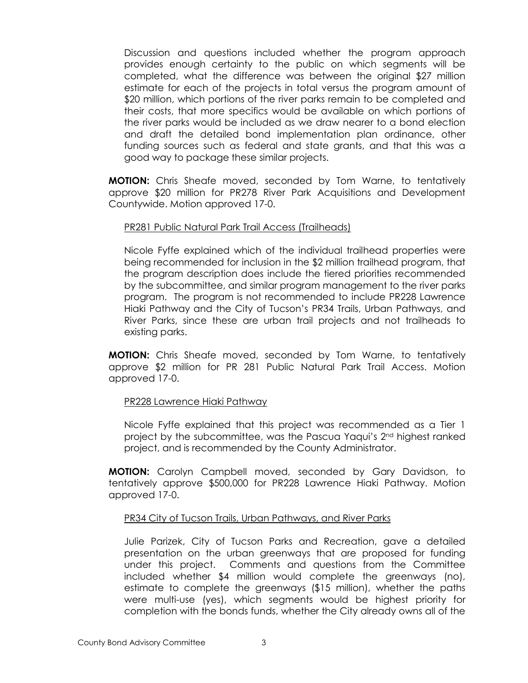Discussion and questions included whether the program approach provides enough certainty to the public on which segments will be completed, what the difference was between the original \$27 million estimate for each of the projects in total versus the program amount of \$20 million, which portions of the river parks remain to be completed and their costs, that more specifics would be available on which portions of the river parks would be included as we draw nearer to a bond election and draft the detailed bond implementation plan ordinance, other funding sources such as federal and state grants, and that this was a good way to package these similar projects.

**MOTION:** Chris Sheafe moved, seconded by Tom Warne, to tentatively approve \$20 million for PR278 River Park Acquisitions and Development Countywide. Motion approved 17-0.

#### PR281 Public Natural Park Trail Access (Trailheads)

Nicole Fyffe explained which of the individual trailhead properties were being recommended for inclusion in the \$2 million trailhead program, that the program description does include the tiered priorities recommended by the subcommittee, and similar program management to the river parks program. The program is not recommended to include PR228 Lawrence Hiaki Pathway and the City of Tucson's PR34 Trails, Urban Pathways, and River Parks, since these are urban trail projects and not trailheads to existing parks.

**MOTION:** Chris Sheafe moved, seconded by Tom Warne, to tentatively approve \$2 million for PR 281 Public Natural Park Trail Access. Motion approved 17-0.

## PR228 Lawrence Hiaki Pathway

Nicole Fyffe explained that this project was recommended as a Tier 1 project by the subcommittee, was the Pascua Yaqui's 2nd highest ranked project, and is recommended by the County Administrator.

**MOTION:** Carolyn Campbell moved, seconded by Gary Davidson, to tentatively approve \$500,000 for PR228 Lawrence Hiaki Pathway. Motion approved 17-0.

#### PR34 City of Tucson Trails, Urban Pathways, and River Parks

Julie Parizek, City of Tucson Parks and Recreation, gave a detailed presentation on the urban greenways that are proposed for funding under this project. Comments and questions from the Committee included whether \$4 million would complete the greenways (no), estimate to complete the greenways (\$15 million), whether the paths were multi-use (yes), which segments would be highest priority for completion with the bonds funds, whether the City already owns all of the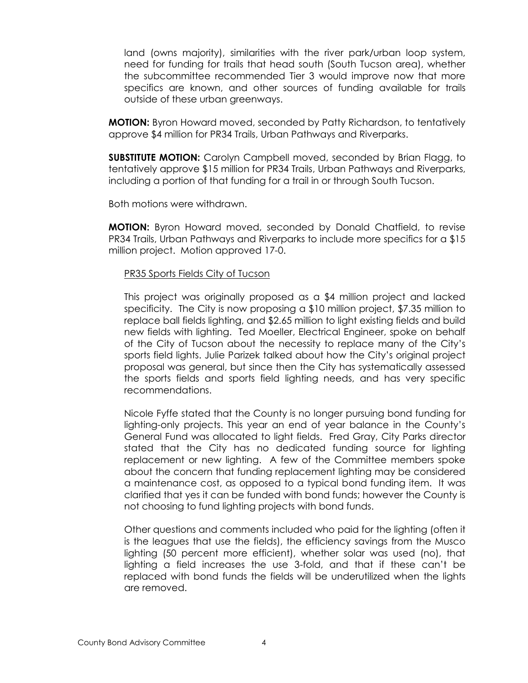land (owns majority), similarities with the river park/urban loop system, need for funding for trails that head south (South Tucson area), whether the subcommittee recommended Tier 3 would improve now that more specifics are known, and other sources of funding available for trails outside of these urban greenways.

**MOTION:** Byron Howard moved, seconded by Patty Richardson, to tentatively approve \$4 million for PR34 Trails, Urban Pathways and Riverparks.

**SUBSTITUTE MOTION:** Carolyn Campbell moved, seconded by Brian Flagg, to tentatively approve \$15 million for PR34 Trails, Urban Pathways and Riverparks, including a portion of that funding for a trail in or through South Tucson.

Both motions were withdrawn.

**MOTION:** Byron Howard moved, seconded by Donald Chatfield, to revise PR34 Trails, Urban Pathways and Riverparks to include more specifics for a \$15 million project. Motion approved 17-0.

#### PR35 Sports Fields City of Tucson

This project was originally proposed as a \$4 million project and lacked specificity. The City is now proposing a \$10 million project, \$7.35 million to replace ball fields lighting, and \$2.65 million to light existing fields and build new fields with lighting. Ted Moeller, Electrical Engineer, spoke on behalf of the City of Tucson about the necessity to replace many of the City's sports field lights. Julie Parizek talked about how the City's original project proposal was general, but since then the City has systematically assessed the sports fields and sports field lighting needs, and has very specific recommendations.

Nicole Fyffe stated that the County is no longer pursuing bond funding for lighting-only projects. This year an end of year balance in the County's General Fund was allocated to light fields. Fred Gray, City Parks director stated that the City has no dedicated funding source for lighting replacement or new lighting. A few of the Committee members spoke about the concern that funding replacement lighting may be considered a maintenance cost, as opposed to a typical bond funding item. It was clarified that yes it can be funded with bond funds; however the County is not choosing to fund lighting projects with bond funds.

Other questions and comments included who paid for the lighting (often it is the leagues that use the fields), the efficiency savings from the Musco lighting (50 percent more efficient), whether solar was used (no), that lighting a field increases the use 3-fold, and that if these can't be replaced with bond funds the fields will be underutilized when the lights are removed.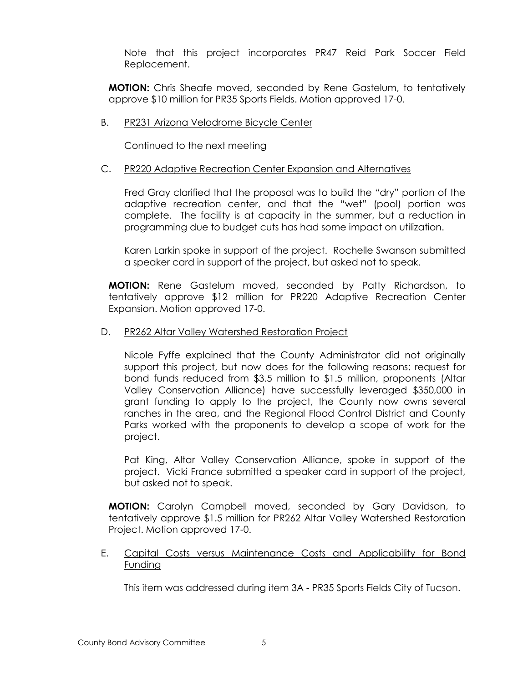Note that this project incorporates PR47 Reid Park Soccer Field Replacement.

**MOTION:** Chris Sheafe moved, seconded by Rene Gastelum, to tentatively approve \$10 million for PR35 Sports Fields. Motion approved 17-0.

## B. PR231 Arizona Velodrome Bicycle Center

Continued to the next meeting

## C. PR220 Adaptive Recreation Center Expansion and Alternatives

Fred Gray clarified that the proposal was to build the "dry" portion of the adaptive recreation center, and that the "wet" (pool) portion was complete. The facility is at capacity in the summer, but a reduction in programming due to budget cuts has had some impact on utilization.

Karen Larkin spoke in support of the project. Rochelle Swanson submitted a speaker card in support of the project, but asked not to speak.

**MOTION:** Rene Gastelum moved, seconded by Patty Richardson, to tentatively approve \$12 million for PR220 Adaptive Recreation Center Expansion. Motion approved 17-0.

## D. PR262 Altar Valley Watershed Restoration Project

Nicole Fyffe explained that the County Administrator did not originally support this project, but now does for the following reasons: request for bond funds reduced from \$3.5 million to \$1.5 million, proponents (Altar Valley Conservation Alliance) have successfully leveraged \$350,000 in grant funding to apply to the project, the County now owns several ranches in the area, and the Regional Flood Control District and County Parks worked with the proponents to develop a scope of work for the project.

Pat King, Altar Valley Conservation Alliance, spoke in support of the project. Vicki France submitted a speaker card in support of the project, but asked not to speak.

**MOTION:** Carolyn Campbell moved, seconded by Gary Davidson, to tentatively approve \$1.5 million for PR262 Altar Valley Watershed Restoration Project. Motion approved 17-0.

E. Capital Costs versus Maintenance Costs and Applicability for Bond **Funding** 

This item was addressed during item 3A - PR35 Sports Fields City of Tucson.